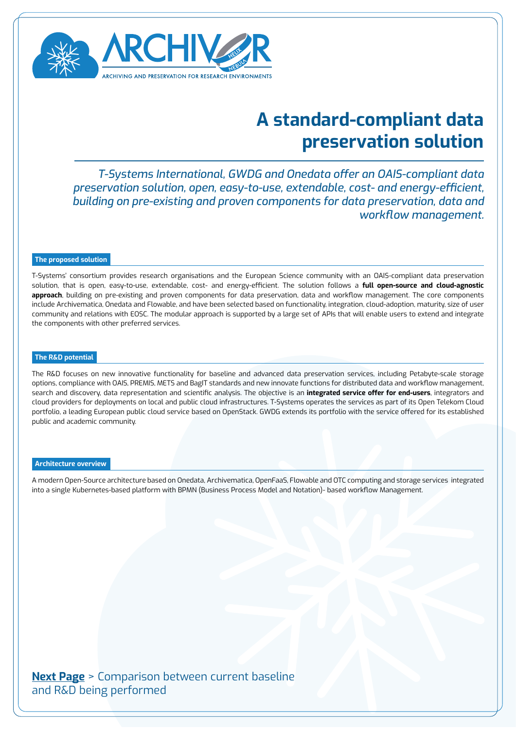

## **A standard-compliant data preservation solution**

*T-Systems International, GWDG and Onedata offer an OAIS-compliant data preservation solution, open, easy-to-use, extendable, cost- and energy-efficient, building on pre-existing and proven components for data preservation, data and workflow management.*

### **The proposed solution**

T-Systems' consortium provides research organisations and the European Science community with an OAIS-compliant data preservation solution, that is open, easy-to-use, extendable, cost- and energy-efficient. The solution follows a **full open-source and cloud-agnostic approach**, building on pre-existing and proven components for data preservation, data and workflow management. The core components include Archivematica, Onedata and Flowable, and have been selected based on functionality, integration, cloud-adoption, maturity, size of user community and relations with EOSC. The modular approach is supported by a large set of APIs that will enable users to extend and integrate the components with other preferred services.

#### **The R&D potential**

The R&D focuses on new innovative functionality for baseline and advanced data preservation services, including Petabyte-scale storage options, compliance with OAIS, PREMIS, METS and BagIT standards and new innovate functions for distributed data and workflow management, search and discovery, data representation and scientific analysis. The objective is an **integrated service offer for end-users**, integrators and cloud providers for deployments on local and public cloud infrastructures. T-Systems operates the services as part of its Open Telekom Cloud portfolio, a leading European public cloud service based on OpenStack. GWDG extends its portfolio with the service offered for its established public and academic community.

#### **Architecture overview**

A modern Open-Source architecture based on Onedata, Archivematica, OpenFaaS, Flowable and OTC computing and storage services integrated into a single Kubernetes-based platform with BPMN (Business Process Model and Notation)- based workflow Management.

**[Next Page](#page-1-0)** > Comparison between current baseline and R&D being performed